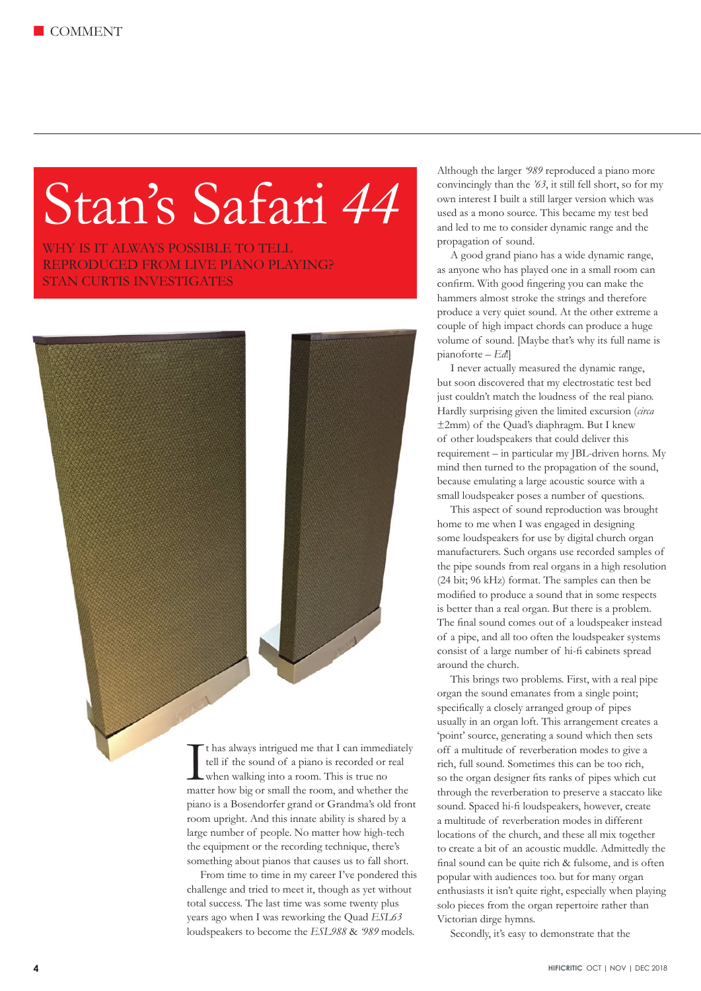## Stan's Safari *44*

WHY IS IT ALWAYS POSSIBLE TO TELL REPRODUCED FROM LIVE PIANO PLAYING? STAN CURTIS INVESTIGATES



It has always intrigued me that I can immediately<br>tell if the sound of a piano is recorded or real<br>when walking into a room. This is true no<br>matter how big or small the room, and whether the t has always intrigued me that I can immediately tell if the sound of a piano is recorded or real when walking into a room. This is true no piano is a Bosendorfer grand or Grandma's old front room upright. And this innate ability is shared by a large number of people. No matter how high-tech the equipment or the recording technique, there's something about pianos that causes us to fall short.

From time to time in my career I've pondered this challenge and tried to meet it, though as yet without total success. The last time was some twenty plus years ago when I was reworking the Quad *ESL63* loudspeakers to become the *ESL988* & *'989* models.

Although the larger *'989* reproduced a piano more convincingly than the *'63*, it still fell short, so for my own interest I built a still larger version which was used as a mono source. This became my test bed and led to me to consider dynamic range and the propagation of sound.

A good grand piano has a wide dynamic range, as anyone who has played one in a small room can confirm. With good fingering you can make the hammers almost stroke the strings and therefore produce a very quiet sound. At the other extreme a couple of high impact chords can produce a huge volume of sound. [Maybe that's why its full name is pianoforte – *Ed*!]

I never actually measured the dynamic range, but soon discovered that my electrostatic test bed just couldn't match the loudness of the real piano. Hardly surprising given the limited excursion (*circa* ±2mm) of the Quad's diaphragm. But I knew of other loudspeakers that could deliver this requirement – in particular my JBL-driven horns. My mind then turned to the propagation of the sound, because emulating a large acoustic source with a small loudspeaker poses a number of questions.

This aspect of sound reproduction was brought home to me when I was engaged in designing some loudspeakers for use by digital church organ manufacturers. Such organs use recorded samples of the pipe sounds from real organs in a high resolution (24 bit; 96 kHz) format. The samples can then be modified to produce a sound that in some respects is better than a real organ. But there is a problem. The final sound comes out of a loudspeaker instead of a pipe, and all too often the loudspeaker systems consist of a large number of hi-fi cabinets spread around the church.

This brings two problems. First, with a real pipe organ the sound emanates from a single point; specifically a closely arranged group of pipes usually in an organ loft. This arrangement creates a 'point' source, generating a sound which then sets off a multitude of reverberation modes to give a rich, full sound. Sometimes this can be too rich, so the organ designer fits ranks of pipes which cut through the reverberation to preserve a staccato like sound. Spaced hi-fi loudspeakers, however, create a multitude of reverberation modes in different locations of the church, and these all mix together to create a bit of an acoustic muddle. Admittedly the final sound can be quite rich & fulsome, and is often popular with audiences too. but for many organ enthusiasts it isn't quite right, especially when playing solo pieces from the organ repertoire rather than Victorian dirge hymns.

Secondly, it's easy to demonstrate that the